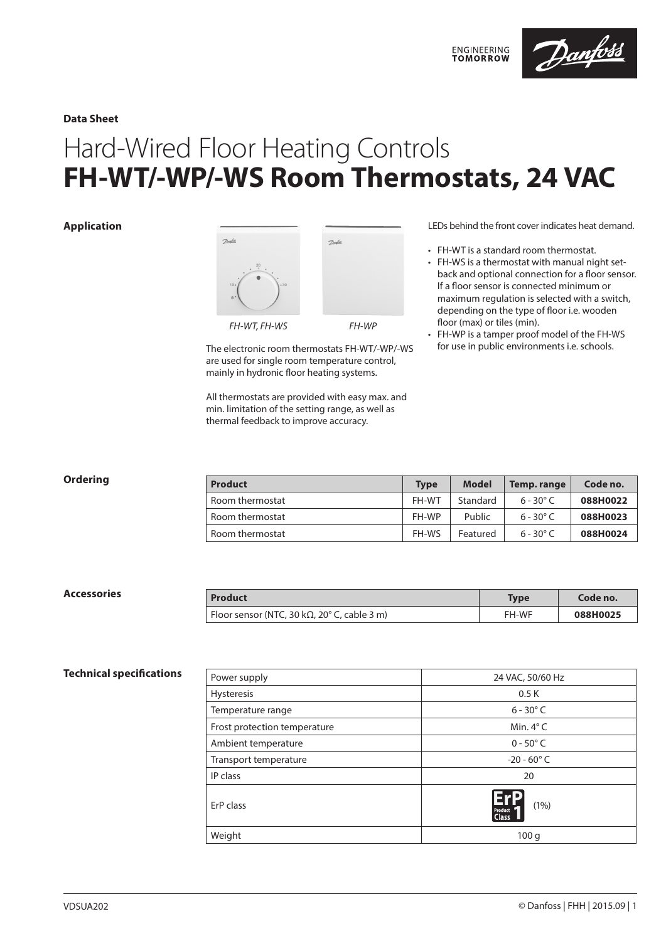

**Data Sheet**

# Hard-Wired Floor Heating Controls **FH-WT/-WP/-WS Room Thermostats, 24 VAC**

### **Application**



The electronic room thermostats FH-WT/-WP/-WS are used for single room temperature control, mainly in hydronic floor heating systems.

All thermostats are provided with easy max. and min. limitation of the setting range, as well as thermal feedback to improve accuracy.

#### LEDs behind the front cover indicates heat demand.

• FH-WT is a standard room thermostat.

**ENGINEERING**<br>TOMORROW

- FH-WS is a thermostat with manual night setback and optional connection for a floor sensor. If a floor sensor is connected minimum or maximum regulation is selected with a switch, depending on the type of floor i.e. wooden floor (max) or tiles (min).
- FH-WP is a tamper proof model of the FH-WS for use in public environments i.e. schools.

| Ordering | <b>Product</b>  | <b>Type</b>  | <b>Model</b> | Temp. range        | Code no. |
|----------|-----------------|--------------|--------------|--------------------|----------|
|          | Room thermostat | FH-WT        | Standard     | $6 - 30^{\circ}$ C | 088H0022 |
|          | Room thermostat | FH-WP        | Public       | $6 - 30^{\circ}$ C | 088H0023 |
|          | Room thermostat | <b>FH-WS</b> | Featured     | $6 - 30^{\circ}$ C | 088H0024 |

| Accessories | <b>Product</b>                                                    | <b>Type</b> | Code no. |
|-------------|-------------------------------------------------------------------|-------------|----------|
|             | Floor sensor (NTC, 30 k $\Omega$ , 20 $\textdegree$ C, cable 3 m) | FH-WF       | 088H0025 |

#### **Technical specifications**

| Power supply                 | 24 VAC, 50/60 Hz                 |  |  |
|------------------------------|----------------------------------|--|--|
| <b>Hysteresis</b>            | 0.5K                             |  |  |
| Temperature range            | $6 - 30^{\circ}$ C               |  |  |
| Frost protection temperature | Min. $4^{\circ}$ C               |  |  |
| Ambient temperature          | $0 - 50^{\circ}$ C               |  |  |
| Transport temperature        | $-20 - 60^{\circ}$ C             |  |  |
| IP class                     | 20                               |  |  |
| ErP class                    | (1% )<br>Product<br><b>Class</b> |  |  |
| Weight                       | 100q                             |  |  |